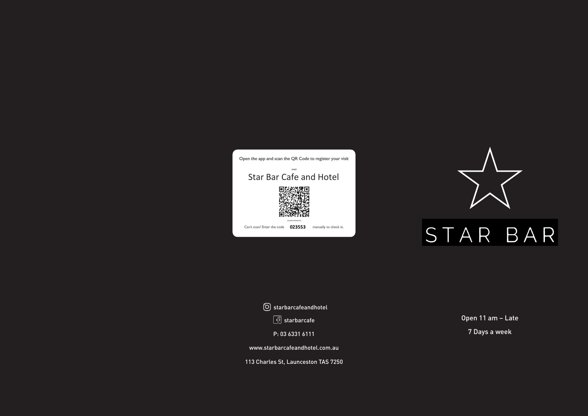P: 03 6331 6111

www.starbarcafeandhotel.com.au

113 Charles St, Launceston TAS 7250



## Open 11 am – Late 7 Days a week



 starbarcafeandhotel  $\boxed{\frac{\sqrt{3}}{2}}$  starbarcafe